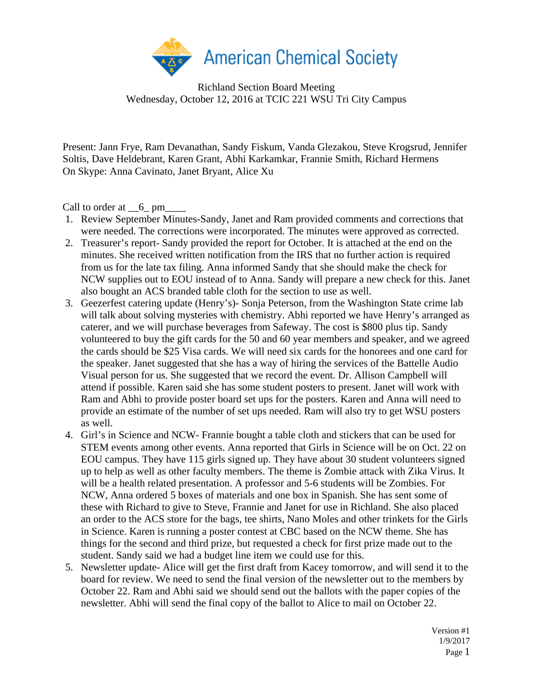

Richland Section Board Meeting Wednesday, October 12, 2016 at TCIC 221 WSU Tri City Campus

Present: Jann Frye, Ram Devanathan, Sandy Fiskum, Vanda Glezakou, Steve Krogsrud, Jennifer Soltis, Dave Heldebrant, Karen Grant, Abhi Karkamkar, Frannie Smith, Richard Hermens On Skype: Anna Cavinato, Janet Bryant, Alice Xu

Call to order at  $\_6$ <sup>pm</sup>

- 1. Review September Minutes-Sandy, Janet and Ram provided comments and corrections that were needed. The corrections were incorporated. The minutes were approved as corrected.
- 2. Treasurer's report- Sandy provided the report for October. It is attached at the end on the minutes. She received written notification from the IRS that no further action is required from us for the late tax filing. Anna informed Sandy that she should make the check for NCW supplies out to EOU instead of to Anna. Sandy will prepare a new check for this. Janet also bought an ACS branded table cloth for the section to use as well.
- 3. Geezerfest catering update (Henry's)- Sonja Peterson, from the Washington State crime lab will talk about solving mysteries with chemistry. Abhi reported we have Henry's arranged as caterer, and we will purchase beverages from Safeway. The cost is \$800 plus tip. Sandy volunteered to buy the gift cards for the 50 and 60 year members and speaker, and we agreed the cards should be \$25 Visa cards. We will need six cards for the honorees and one card for the speaker. Janet suggested that she has a way of hiring the services of the Battelle Audio Visual person for us. She suggested that we record the event. Dr. Allison Campbell will attend if possible. Karen said she has some student posters to present. Janet will work with Ram and Abhi to provide poster board set ups for the posters. Karen and Anna will need to provide an estimate of the number of set ups needed. Ram will also try to get WSU posters as well.
- 4. Girl's in Science and NCW- Frannie bought a table cloth and stickers that can be used for STEM events among other events. Anna reported that Girls in Science will be on Oct. 22 on EOU campus. They have 115 girls signed up. They have about 30 student volunteers signed up to help as well as other faculty members. The theme is Zombie attack with Zika Virus. It will be a health related presentation. A professor and 5-6 students will be Zombies. For NCW, Anna ordered 5 boxes of materials and one box in Spanish. She has sent some of these with Richard to give to Steve, Frannie and Janet for use in Richland. She also placed an order to the ACS store for the bags, tee shirts, Nano Moles and other trinkets for the Girls in Science. Karen is running a poster contest at CBC based on the NCW theme. She has things for the second and third prize, but requested a check for first prize made out to the student. Sandy said we had a budget line item we could use for this.
- 5. Newsletter update- Alice will get the first draft from Kacey tomorrow, and will send it to the board for review. We need to send the final version of the newsletter out to the members by October 22. Ram and Abhi said we should send out the ballots with the paper copies of the newsletter. Abhi will send the final copy of the ballot to Alice to mail on October 22.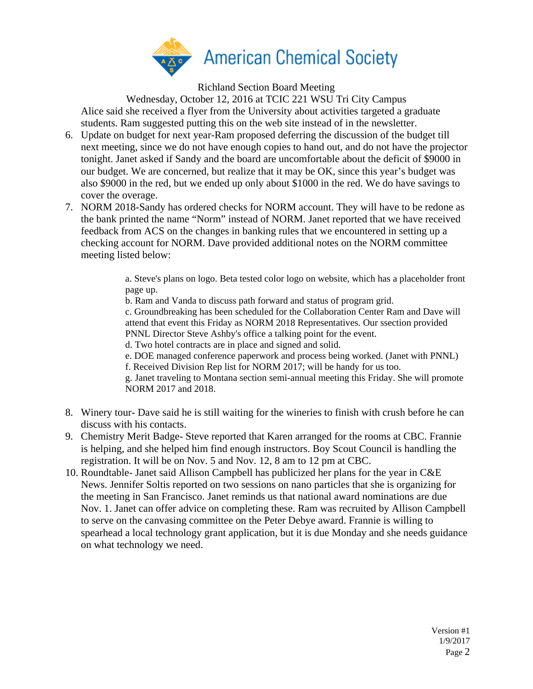

Richland Section Board Meeting

Wednesday, October 12, 2016 at TCIC 221 WSU Tri City Campus Alice said she received a flyer from the University about activities targeted a graduate students. Ram suggested putting this on the web site instead of in the newsletter.

- 6. Update on budget for next year-Ram proposed deferring the discussion of the budget till next meeting, since we do not have enough copies to hand out, and do not have the projector tonight. Janet asked if Sandy and the board are uncomfortable about the deficit of \$9000 in our budget. We are concerned, but realize that it may be OK, since this year's budget was also \$9000 in the red, but we ended up only about \$1000 in the red. We do have savings to cover the overage.
- 7. NORM 2018-Sandy has ordered checks for NORM account. They will have to be redone as the bank printed the name "Norm" instead of NORM. Janet reported that we have received feedback from ACS on the changes in banking rules that we encountered in setting up a checking account for NORM. Dave provided additional notes on the NORM committee meeting listed below:

a. Steve's plans on logo. Beta tested color logo on website, which has a placeholder front page up.

b. Ram and Vanda to discuss path forward and status of program grid.

c. Groundbreaking has been scheduled for the Collaboration Center Ram and Dave will attend that event this Friday as NORM 2018 Representatives. Our ssection provided PNNL Director Steve Ashby's office a talking point for the event.

d. Two hotel contracts are in place and signed and solid.

e. DOE managed conference paperwork and process being worked. (Janet with PNNL) f. Received Division Rep list for NORM 2017; will be handy for us too.

g. Janet traveling to Montana section semi-annual meeting this Friday. She will promote NORM 2017 and 2018.

- 8. Winery tour- Dave said he is still waiting for the wineries to finish with crush before he can discuss with his contacts.
- 9. Chemistry Merit Badge- Steve reported that Karen arranged for the rooms at CBC. Frannie is helping, and she helped him find enough instructors. Boy Scout Council is handling the registration. It will be on Nov. 5 and Nov. 12, 8 am to 12 pm at CBC.
- 10. Roundtable- Janet said Allison Campbell has publicized her plans for the year in C&E News. Jennifer Soltis reported on two sessions on nano particles that she is organizing for the meeting in San Francisco. Janet reminds us that national award nominations are due Nov. 1. Janet can offer advice on completing these. Ram was recruited by Allison Campbell to serve on the canvasing committee on the Peter Debye award. Frannie is willing to spearhead a local technology grant application, but it is due Monday and she needs guidance on what technology we need.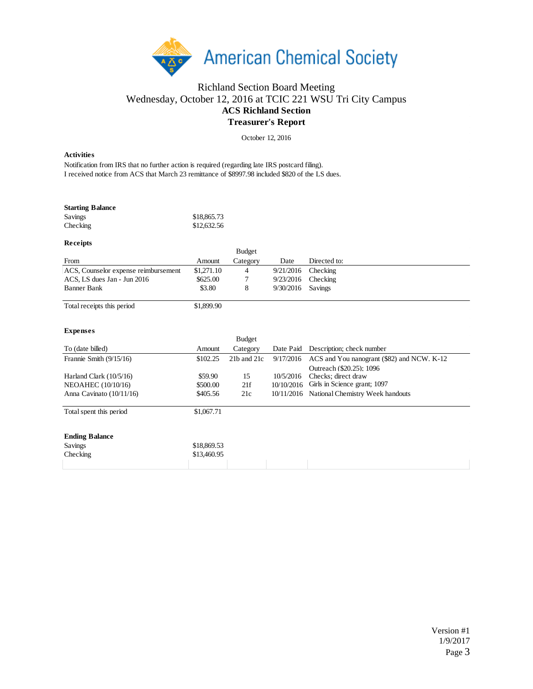

## Richland Section Board Meeting Wednesday, October 12, 2016 at TCIC 221 WSU Tri City Campus **ACS Richland Section Treasurer's Report**

October 12, 2016

## **Activities**

Notification from IRS that no further action is required (regarding late IRS postcard filing). I received notice from ACS that March 23 remittance of \$8997.98 included \$820 of the LS dues.

| <b>Starting Balance</b> |             |
|-------------------------|-------------|
| Savings                 | \$18,865.73 |
| Checking                | \$12,632.56 |

## **Receipts**

|                                      |            | <b>Budget</b> |           |              |
|--------------------------------------|------------|---------------|-----------|--------------|
| From                                 | Amount     | Category      | Date      | Directed to: |
| ACS, Counselor expense reimbursement | \$1.271.10 | 4             | 9/21/2016 | Checking     |
| ACS, LS dues Jan - Jun 2016          | \$625.00   |               | 9/23/2016 | Checking     |
| Banner Bank                          | \$3.80     |               | 9/30/2016 | Savings      |
|                                      |            |               |           |              |

Total receipts this period \$1,899.90

## **Expenses**

|                            |             | <b>Budget</b> |            |                                             |
|----------------------------|-------------|---------------|------------|---------------------------------------------|
| To (date billed)           | Amount      | Category      | Date Paid  | Description; check number                   |
| Frannie Smith $(9/15/16)$  | \$102.25    | 21b and 21c   | 9/17/2016  | ACS and You nanogrant (\$82) and NCW. K-12  |
|                            |             |               |            | Outreach (\$20.25): 1096                    |
| Harland Clark $(10/5/16)$  | \$59.90     | 15            | 10/5/2016  | Checks: direct draw                         |
| NEOAHEC (10/10/16)         | \$500.00    | 21f           | 10/10/2016 | Girls in Science grant; 1097                |
| Anna Cavinato $(10/11/16)$ | \$405.56    | 21c           |            | 10/11/2016 National Chemistry Week handouts |
| Total spent this period    | \$1,067.71  |               |            |                                             |
| <b>Ending Balance</b>      |             |               |            |                                             |
| Savings                    | \$18,869.53 |               |            |                                             |
| Checking                   | \$13,460.95 |               |            |                                             |
|                            |             |               |            |                                             |